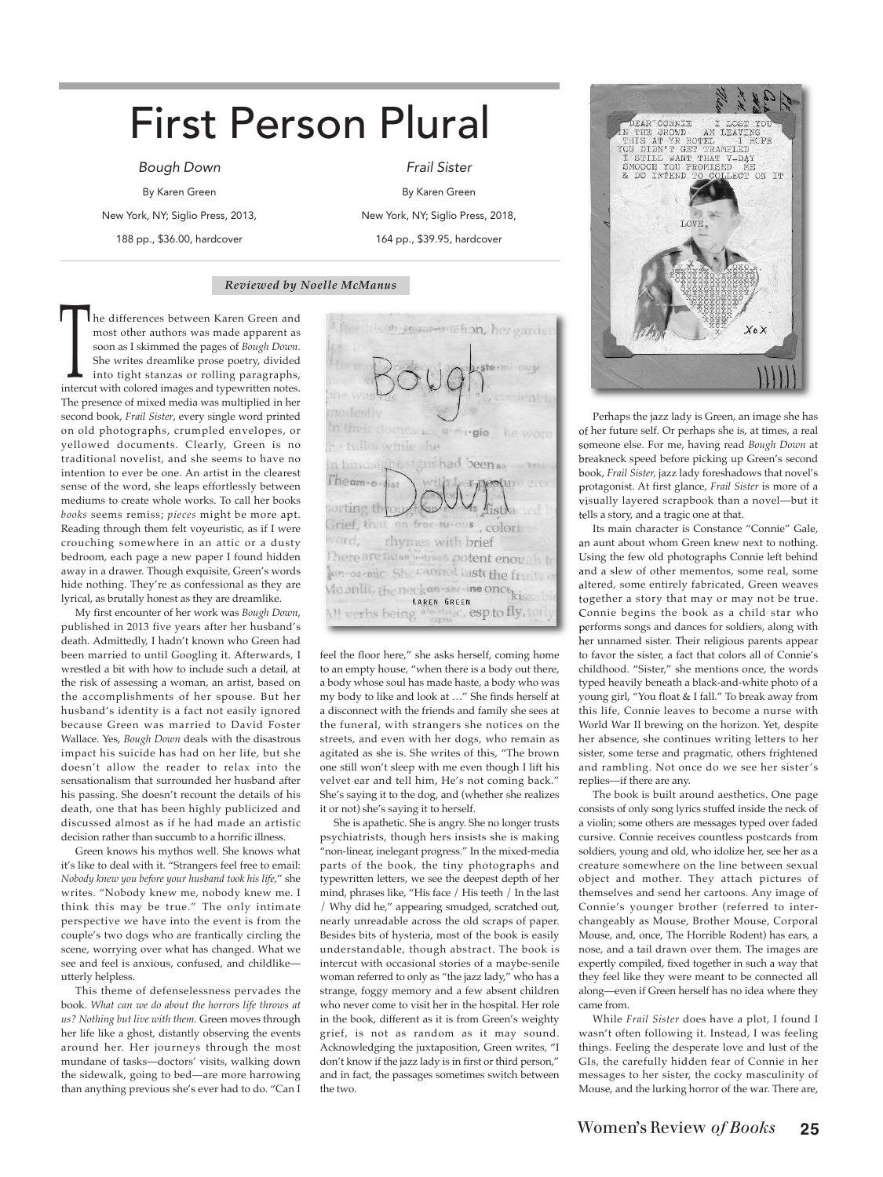# First Person Plural

Bough Down

By Karen Green

New York, NY; Siglio Press, 2013,

188 pp., \$36.00, hardcover

Frail Sister By Karen Green New York, NY; Siglio Press, 2018, 164 pp., \$39.95, hardcover

### *Reviewed by Noelle McManus*

he differences between Karen Green and most other authors was made apparent as soon as I skimmed the pages of *Bough Down.* She writes dreamlike prose poetry, divided into tight stanzas or rolling paragraphs, soon as I skimmed the pages of *Bough Down*.<br>She writes dreamlike prose poetry, divided<br>into tight stanzas or rolling paragraphs,<br>intercut with colored images and typewritten notes. The presence of mixed media was multiplied in her second book, *Frail Sister*, every single word printed on old photographs, crumpled envelopes, or yellowed documents. Clearly, Green is no traditional novelist, and she seems to have no intention to ever be one. An artist in the clearest sense of the word, she leaps effortlessly between mediums to create whole works. To call her books *books* seems remiss; *pieces* might be more apt. Reading through them felt voyeuristic, as if I were crouching somewhere in an attic or a dusty bedroom, each page a new paper I found hidden away in a drawer. Though exquisite, Green's words hide nothing. They're as confessional as they are lyrical, as brutally honest as they are dreamlike.

My first encounter of her work was *Bough Down*, published in 2013 five years after her husband's death. Admittedly, I hadn't known who Green had been married to until Googling it. Afterwards, I wrestled a bit with how to include such a detail, at the risk of assessing a woman, an artist, based on the accomplishments of her spouse. But her husband's identity is a fact not easily ignored because Green was married to David Foster Wallace. Yes, *Bough Down* deals with the disastrous impact his suicide has had on her life, but she doesn't allow the reader to relax into the sensationalism that surrounded her husband after his passing. She doesn't recount the details of his death, one that has been highly publicized and discussed almost as if he had made an artistic decision rather than succumb to a horrific illness.

Green knows his mythos well. She knows what it's like to deal with it. "Strangers feel free to email: *Nobody knew you before your husband took his life*," she writes. "Nobody knew me, nobody knew me. I think this may be true." The only intimate perspective we have into the event is from the couple's two dogs who are frantically circling the scene, worrying over what has changed. What we see and feel is anxious, confused, and childlike utterly helpless.

This theme of defenselessness pervades the book. *What can we do about the horrors life throws at us? Nothing but live with them.* Green moves through her life like a ghost, distantly observing the events around her. Her journeys through the most mundane of tasks—doctors' visits, walking down the sidewalk, going to bed—are more harrowing than anything previous she's ever had to do. "Can I

is ob squaser telion, her garde no destiv n their down he wore a du gio te tulles while she signshad beenaa n hindsip Ineam.o. T postu Vis fistha forting th Grief, that on froc-tu-ous, colorly Vord, rhymes with brief There are no an a-dynes potent enough to Jan-os-mic She cannot tasts the fruits Moonlit, the neck an service once kis KAREN GREEN Ill verbs being abstatic, esp.to fly, tor

feel the floor here," she asks herself, coming home to an empty house, "when there is a body out there, a body whose soul has made haste, a body who was my body to like and look at …" She finds herself at a disconnect with the friends and family she sees at the funeral, with strangers she notices on the streets, and even with her dogs, who remain as agitated as she is. She writes of this, "The brown one still won't sleep with me even though I lift his velvet ear and tell him, He's not coming back." She's saying it to the dog, and (whether she realizes it or not) she's saying it to herself.

She is apathetic. She is angry. She no longer trusts psychiatrists, though hers insists she is making "non-linear, inelegant progress." In the mixed-media parts of the book, the tiny photographs and typewritten letters, we see the deepest depth of her mind, phrases like, "His face / His teeth / In the last / Why did he," appearing smudged, scratched out, nearly unreadable across the old scraps of paper. Besides bits of hysteria, most of the book is easily understandable, though abstract. The book is intercut with occasional stories of a maybe-senile woman referred to only as "the jazz lady," who has a strange, foggy memory and a few absent children who never come to visit her in the hospital. Her role in the book, different as it is from Green's weighty grief, is not as random as it may sound. Acknowledging the juxtaposition, Green writes, "I don't know if the jazz lady is in first or third person," and in fact, the passages sometimes switch between the two.



Perhaps the jazz lady is Green, an image she has of her future self. Or perhaps she is, at times, a real someone else. For me, having read *Bough Down* at breakneck speed before picking up Green's second book, *Frail Sister,* jazz lady foreshadows that novel's protagonist. At first glance, *Frail Sister* is more of a visually layered scrapbook than a novel—but it tells a story, and a tragic one at that.

Its main character is Constance "Connie" Gale, an aunt about whom Green knew next to nothing. Using the few old photographs Connie left behind and a slew of other mementos, some real, some altered, some entirely fabricated, Green weaves together a story that may or may not be true. Connie begins the book as a child star who performs songs and dances for soldiers, along with her unnamed sister. Their religious parents appear to favor the sister, a fact that colors all of Connie's childhood. "Sister," she mentions once, the words typed heavily beneath a black-and-white photo of a young girl, "You float & I fall." To break away from this life, Connie leaves to become a nurse with World War II brewing on the horizon. Yet, despite her absence, she continues writing letters to her sister, some terse and pragmatic, others frightened and rambling. Not once do we see her sister's replies—if there are any.

The book is built around aesthetics. One page consists of only song lyrics stuffed inside the neck of a violin; some others are messages typed over faded cursive. Connie receives countless postcards from soldiers, young and old, who idolize her, see her as a creature somewhere on the line between sexual object and mother. They attach pictures of themselves and send her cartoons. Any image of Connie's younger brother (referred to interchangeably as Mouse, Brother Mouse, Corporal Mouse, and, once, The Horrible Rodent) has ears, a nose, and a tail drawn over them. The images are expertly compiled, fixed together in such a way that they feel like they were meant to be connected all along—even if Green herself has no idea where they came from.

While *Frail Sister* does have a plot, I found I wasn't often following it. Instead, I was feeling things. Feeling the desperate love and lust of the GIs, the carefully hidden fear of Connie in her messages to her sister, the cocky masculinity of Mouse, and the lurking horror of the war. There are,